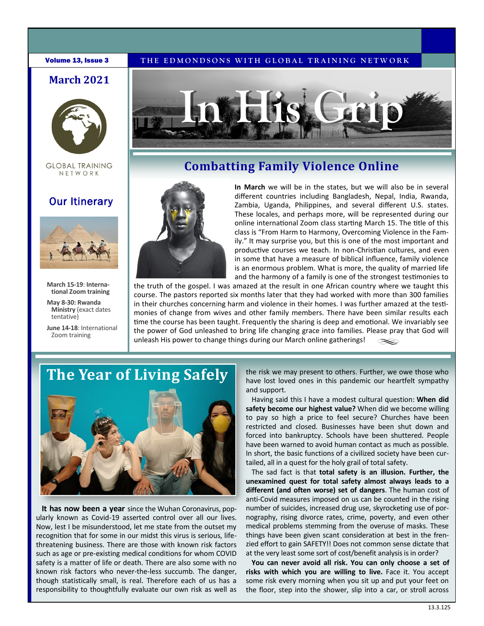#### **Volume 13, Issue 3** THE EDMONDSONS WITH GLOBAL TRAINING NETWORK

## **March 2021**



**GLOBAL TRAINING** NETWORK

## Our Itinerary



**March 15-19**: **International Zoom training**

**May 8-30: Rwanda Ministry** (exact dates tentative)

**June 14-18**: International Zoom training



## **Combatting Family Violence Online**



**In March** we will be in the states, but we will also be in several different countries including Bangladesh, Nepal, India, Rwanda, Zambia, Uganda, Philippines, and several different U.S. states. These locales, and perhaps more, will be represented during our online international Zoom class starting March 15. The title of this class is "From Harm to Harmony, Overcoming Violence in the Family." It may surprise you, but this is one of the most important and productive courses we teach. In non-Christian cultures, and even in some that have a measure of biblical influence, family violence is an enormous problem. What is more, the quality of married life and the harmony of a family is one of the strongest testimonies to

the truth of the gospel. I was amazed at the result in one African country where we taught this course. The pastors reported six months later that they had worked with more than 300 families in their churches concerning harm and violence in their homes. I was further amazed at the testimonies of change from wives and other family members. There have been similar results each time the course has been taught. Frequently the sharing is deep and emotional. We invariably see the power of God unleashed to bring life changing grace into families. Please pray that God will unleash His power to change things during our March online gatherings!

# **The Year of Living Safely**



**It has now been a year** since the Wuhan Coronavirus, popularly known as Covid-19 asserted control over all our lives. Now, lest I be misunderstood, let me state from the outset my recognition that for some in our midst this virus is serious, lifethreatening business. There are those with known risk factors such as age or pre-existing medical conditions for whom COVID safety is a matter of life or death. There are also some with no known risk factors who never-the-less succumb. The danger, though statistically small, is real. Therefore each of us has a responsibility to thoughtfully evaluate our own risk as well as

the risk we may present to others. Further, we owe those who have lost loved ones in this pandemic our heartfelt sympathy and support.

Having said this I have a modest cultural question: **When did safety become our highest value?** When did we become willing to pay so high a price to feel secure? Churches have been restricted and closed. Businesses have been shut down and forced into bankruptcy. Schools have been shuttered. People have been warned to avoid human contact as much as possible. In short, the basic functions of a civilized society have been curtailed, all in a quest for the holy grail of total safety.

The sad fact is that **total safety is an illusion. Further, the unexamined quest for total safety almost always leads to a different (and often worse) set of dangers**. The human cost of anti-Covid measures imposed on us can be counted in the rising number of suicides, increased drug use, skyrocketing use of pornography, rising divorce rates, crime, poverty, and even other medical problems stemming from the overuse of masks. These things have been given scant consideration at best in the frenzied effort to gain SAFETY!! Does not common sense dictate that at the very least some sort of cost/benefit analysis is in order?

**You can never avoid all risk. You can only choose a set of risks with which you are willing to live.** Face it. You accept some risk every morning when you sit up and put your feet on the floor, step into the shower, slip into a car, or stroll across